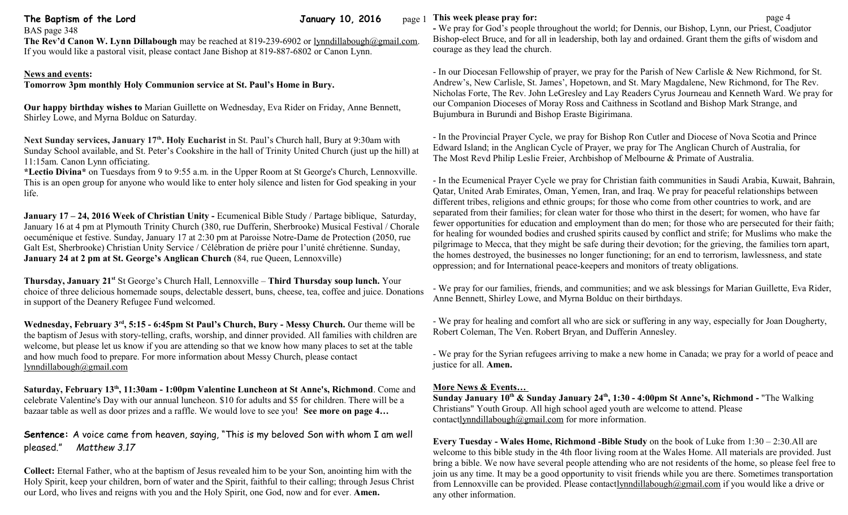# **The Baptism of the Lord Community 10, 2016** page 1

BAS page 348

The Rev'd Canon W. Lynn Dillabough may be reached at 819-239-6902 or [lynndillabough@gmail.com.](mailto:lynndillabough@gmail.com)

If you would like a pastoral visit, please contact Jane Bishop at 819-887-6802 or Canon Lynn.

### **News and events:**

**Tomorrow 3pm monthly Holy Communion service at St. Paul's Home in Bury.** 

**Our happy birthday wishes to** Marian Guillette on Wednesday, Eva Rider on Friday, Anne Bennett, Shirley Lowe, and Myrna Bolduc on Saturday.

Next Sunday services, January 17<sup>th</sup>. Holy Eucharist in St. Paul's Church hall, Bury at 9:30am with Sunday School available, and St. Peter's Cookshire in the hall of Trinity United Church (just up the hill) at 11:15am. Canon Lynn officiating.

**\*Lectio Divina\*** on Tuesdays from 9 to 9:55 a.m. in the Upper Room at St George's Church, Lennoxville. This is an open group for anyone who would like to enter holy silence and listen for God speaking in your life.

**January 17 – 24, 2016 Week of Christian Unity - Ecumenical Bible Study / Partage biblique, Saturday,** January 16 at 4 pm at Plymouth Trinity Church (380, rue Dufferin, Sherbrooke) Musical Festival / Chorale oecuménique et festive. Sunday, January 17 at 2:30 pm at Paroisse Notre-Dame de Protection (2050, rue Galt Est, Sherbrooke) Christian Unity Service / Célébration de prière pour l'unité chrétienne. Sunday, **January 24 at 2 pm at St. George's Anglican Church** (84, rue Queen, Lennoxville)

**Thursday, January 21st** St George's Church Hall, Lennoxville – **Third Thursday soup lunch.** Your choice of three delicious homemade soups, delectable dessert, buns, cheese, tea, coffee and juice. Donations in support of the Deanery Refugee Fund welcomed.

**Wednesday, February 3rd, 5:15 - 6:45pm St Paul's Church, Bury - Messy Church.** Our theme will be the baptism of Jesus with story-telling, crafts, worship, and dinner provided. All families with children are welcome, but please let us know if you are attending so that we know how many places to set at the table and how much food to prepare. For more information about Messy Church, please contact [lynndillabough@gmail.com](mailto:lynndillabough@gmail.com)

**Saturday, February 13th, 11:30am - 1:00pm Valentine Luncheon at St Anne's, Richmond**. Come and celebrate Valentine's Day with our annual luncheon. \$10 for adults and \$5 for children. There will be a bazaar table as well as door prizes and a raffle. We would love to see you! **See more on page 4…**

**Sentence:** A voice came from heaven, saying, "This is my beloved Son with whom I am well pleased." *Matthew 3.17*

**Collect:** Eternal Father, who at the baptism of Jesus revealed him to be your Son, anointing him with the Holy Spirit, keep your children, born of water and the Spirit, faithful to their calling; through Jesus Christ our Lord, who lives and reigns with you and the Holy Spirit, one God, now and for ever. **Amen.**

## **This week please pray for: page 4 page 4 page 4 page 4 page 4 page 4 page 4**

**-** We pray for God's people throughout the world; for Dennis, our Bishop, Lynn, our Priest, Coadjutor Bishop-elect Bruce, and for all in leadership, both lay and ordained. Grant them the gifts of wisdom and courage as they lead the church.

- In our Diocesan Fellowship of prayer, we pray for the Parish of New Carlisle & New Richmond, for St. Andrew's, New Carlisle, St. James', Hopetown, and St. Mary Magdalene, New Richmond, for The Rev. Nicholas Forte, The Rev. John LeGresley and Lay Readers Cyrus Journeau and Kenneth Ward. We pray for our Companion Dioceses of Moray Ross and Caithness in Scotland and Bishop Mark Strange, and Bujumbura in Burundi and Bishop Eraste Bigirimana.

- In the Provincial Prayer Cycle, we pray for Bishop Ron Cutler and Diocese of Nova Scotia and Prince Edward Island; in the Anglican Cycle of Prayer, we pray for The Anglican Church of Australia, for The Most Revd Philip Leslie Freier, Archbishop of Melbourne & Primate of Australia.

- In the Ecumenical Prayer Cycle we pray for Christian faith communities in Saudi Arabia, Kuwait, Bahrain, Qatar, United Arab Emirates, Oman, Yemen, Iran, and Iraq. We pray for peaceful relationships between different tribes, religions and ethnic groups; for those who come from other countries to work, and are separated from their families; for clean water for those who thirst in the desert; for women, who have far fewer opportunities for education and employment than do men; for those who are persecuted for their faith; for healing for wounded bodies and crushed spirits caused by conflict and strife; for Muslims who make the pilgrimage to Mecca, that they might be safe during their devotion; for the grieving, the families torn apart, the homes destroyed, the businesses no longer functioning; for an end to terrorism, lawlessness, and state oppression; and for International peace-keepers and monitors of treaty obligations.

- We pray for our families, friends, and communities; and we ask blessings for Marian Guillette, Eva Rider, Anne Bennett, Shirley Lowe, and Myrna Bolduc on their birthdays.

- We pray for healing and comfort all who are sick or suffering in any way, especially for Joan Dougherty, Robert Coleman, The Ven. Robert Bryan, and Dufferin Annesley.

- We pray for the Syrian refugees arriving to make a new home in Canada; we pray for a world of peace and justice for all. **Amen.**

## **More News & Events…**

**Sunday January 10th & Sunday January 24th , 1:30 - 4:00pm St Anne's, Richmond -** "The Walking Christians" Youth Group. All high school aged youth are welcome to attend. Please contactlynndillabough $@g$ mail.com for more information.

**Every Tuesday - Wales Home, Richmond -Bible Study** on the book of Luke from 1:30 – 2:30.All are welcome to this bible study in the 4th floor living room at the Wales Home. All materials are provided. Just bring a bible. We now have several people attending who are not residents of the home, so please feel free to join us any time. It may be a good opportunity to visit friends while you are there. Sometimes transportation from Lennoxville can be provided. Please contac[tlynndillabough@gmail.com](mailto:lynndillabough@gmail.com) if you would like a drive or any other information.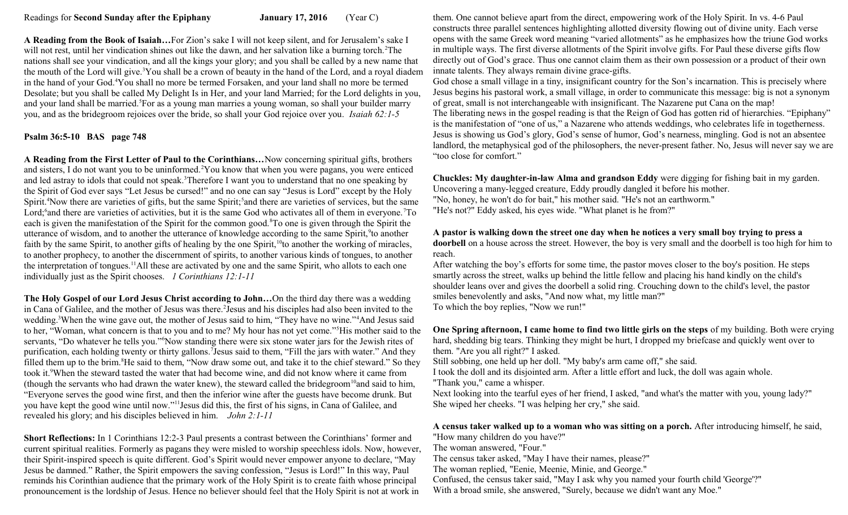**A Reading from the Book of Isaiah…**For Zion's sake I will not keep silent, and for Jerusalem's sake I will not rest, until her vindication shines out like the dawn, and her salvation like a burning torch.<sup>2</sup>The nations shall see your vindication, and all the kings your glory; and you shall be called by a new name that the mouth of the Lord will give.<sup>3</sup>You shall be a crown of beauty in the hand of the Lord, and a royal diadem in the hand of your God.<sup>4</sup>You shall no more be termed Forsaken, and your land shall no more be termed Desolate; but you shall be called My Delight Is in Her, and your land Married; for the Lord delights in you, and your land shall be married.<sup>5</sup>For as a young man marries a young woman, so shall your builder marry you, and as the bridegroom rejoices over the bride, so shall your God rejoice over you. *Isaiah 62:1-5*

## **Psalm 36:5-10 BAS page 748**

**A Reading from the First Letter of Paul to the Corinthians…**Now concerning spiritual gifts, brothers and sisters, I do not want you to be uninformed.<sup>2</sup>You know that when you were pagans, you were enticed and led astray to idols that could not speak.<sup>3</sup>Therefore I want you to understand that no one speaking by the Spirit of God ever says "Let Jesus be cursed!" and no one can say "Jesus is Lord" except by the Holy Spirit.<sup>4</sup>Now there are varieties of gifts, but the same Spirit;<sup>5</sup> and there are varieties of services, but the same Lord;<sup>6</sup> and there are varieties of activities, but it is the same God who activates all of them in everyone.<sup>7</sup>To each is given the manifestation of the Spirit for the common good.<sup>8</sup>To one is given through the Spirit the utterance of wisdom, and to another the utterance of knowledge according to the same Spirit, <sup>9</sup> to another faith by the same Spirit, to another gifts of healing by the one Spirit,<sup>10</sup>to another the working of miracles, to another prophecy, to another the discernment of spirits, to another various kinds of tongues, to another the interpretation of tongues.<sup>11</sup>All these are activated by one and the same Spirit, who allots to each one individually just as the Spirit chooses. *1 Corinthians 12:1-11* 

**The Holy Gospel of our Lord Jesus Christ according to John…**On the third day there was a wedding in Cana of Galilee, and the mother of Jesus was there.<sup>2</sup> Jesus and his disciples had also been invited to the wedding.<sup>3</sup>When the wine gave out, the mother of Jesus said to him, "They have no wine."<sup>4</sup>And Jesus said to her, "Woman, what concern is that to you and to me? My hour has not yet come."<sup>5</sup>His mother said to the servants, "Do whatever he tells you."<sup>6</sup>Now standing there were six stone water jars for the Jewish rites of purification, each holding twenty or thirty gallons. I Jesus said to them, "Fill the jars with water." And they filled them up to the brim.<sup>8</sup>He said to them, "Now draw some out, and take it to the chief steward." So they took it.<sup>9</sup>When the steward tasted the water that had become wine, and did not know where it came from (though the servants who had drawn the water knew), the steward called the bridegroom<sup>10</sup> and said to him, "Everyone serves the good wine first, and then the inferior wine after the guests have become drunk. But you have kept the good wine until now."<sup>11</sup>Jesus did this, the first of his signs, in Cana of Galilee, and revealed his glory; and his disciples believed in him. *John 2:1-11* 

**Short Reflections:** In 1 Corinthians 12:2-3 Paul presents a contrast between the Corinthians' former and current spiritual realities. Formerly as pagans they were misled to worship speechless idols. Now, however, their Spirit-inspired speech is quite different. God's Spirit would never empower anyone to declare, "May Jesus be damned." Rather, the Spirit empowers the saving confession, "Jesus is Lord!" In this way, Paul reminds his Corinthian audience that the primary work of the Holy Spirit is to create faith whose principal pronouncement is the lordship of Jesus. Hence no believer should feel that the Holy Spirit is not at work in

them. One cannot believe apart from the direct, empowering work of the Holy Spirit. In vs. 4-6 Paul constructs three parallel sentences highlighting allotted diversity flowing out of divine unity. Each verse opens with the same Greek word meaning "varied allotments" as he emphasizes how the triune God works in multiple ways. The first diverse allotments of the Spirit involve gifts. For Paul these diverse gifts flow directly out of God's grace. Thus one cannot claim them as their own possession or a product of their own innate talents. They always remain divine grace-gifts.

God chose a small village in a tiny, insignificant country for the Son's incarnation. This is precisely where Jesus begins his pastoral work, a small village, in order to communicate this message: big is not a synonym of great, small is not interchangeable with insignificant. The Nazarene put Cana on the map! The liberating news in the gospel reading is that the Reign of God has gotten rid of hierarchies. "Epiphany" is the manifestation of "one of us," a Nazarene who attends weddings, who celebrates life in togetherness. Jesus is showing us God's glory, God's sense of humor, God's nearness, mingling. God is not an absentee landlord, the metaphysical god of the philosophers, the never-present father. No, Jesus will never say we are "too close for comfort."

**Chuckles: My daughter-in-law Alma and grandson Eddy** were digging for fishing bait in my garden. Uncovering a many-legged creature, Eddy proudly dangled it before his mother. "No, honey, he won't do for bait," his mother said. "He's not an earthworm."

"He's not?" Eddy asked, his eyes wide. "What planet is he from?"

#### **A pastor is walking down the street one day when he notices a very small boy trying to press a doorbell** on a house across the street. However, the boy is very small and the doorbell is too high for him to reach.

After watching the boy's efforts for some time, the pastor moves closer to the boy's position. He steps smartly across the street, walks up behind the little fellow and placing his hand kindly on the child's shoulder leans over and gives the doorbell a solid ring. Crouching down to the child's level, the pastor smiles benevolently and asks, "And now what, my little man?" To which the boy replies, "Now we run!"

**One Spring afternoon, I came home to find two little girls on the steps** of my building. Both were crying hard, shedding big tears. Thinking they might be hurt, I dropped my briefcase and quickly went over to them. "Are you all right?" I asked.

Still sobbing, one held up her doll. "My baby's arm came off," she said.

I took the doll and its disjointed arm. After a little effort and luck, the doll was again whole.

"Thank you," came a whisper.

Next looking into the tearful eyes of her friend, I asked, "and what's the matter with you, young lady?" She wiped her cheeks. "I was helping her cry," she said.

#### **A census taker walked up to a woman who was sitting on a porch.** After introducing himself, he said, "How many children do you have?"

The woman answered, "Four."

The census taker asked, "May I have their names, please?"

The woman replied, "Eenie, Meenie, Minie, and George."

Confused, the census taker said, "May I ask why you named your fourth child 'George'?"

With a broad smile, she answered, "Surely, because we didn't want any Moe."